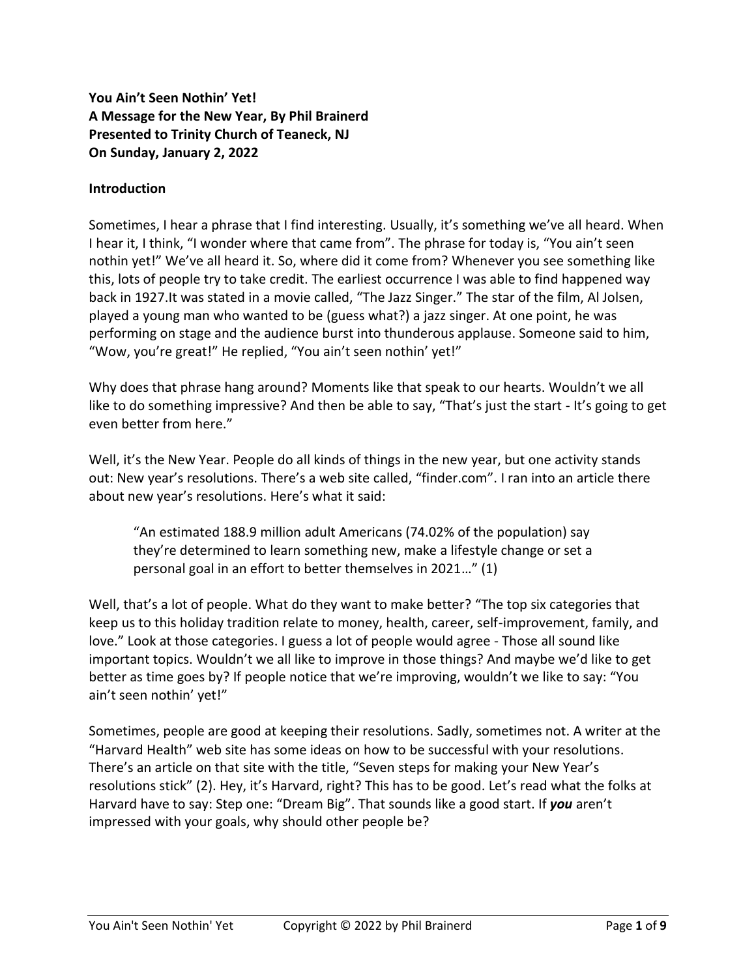# **You Ain't Seen Nothin' Yet! A Message for the New Year, By Phil Brainerd Presented to Trinity Church of Teaneck, NJ On Sunday, January 2, 2022**

## **Introduction**

Sometimes, I hear a phrase that I find interesting. Usually, it's something we've all heard. When I hear it, I think, "I wonder where that came from". The phrase for today is, "You ain't seen nothin yet!" We've all heard it. So, where did it come from? Whenever you see something like this, lots of people try to take credit. The earliest occurrence I was able to find happened way back in 1927.It was stated in a movie called, "The Jazz Singer." The star of the film, Al Jolsen, played a young man who wanted to be (guess what?) a jazz singer. At one point, he was performing on stage and the audience burst into thunderous applause. Someone said to him, "Wow, you're great!" He replied, "You ain't seen nothin' yet!"

Why does that phrase hang around? Moments like that speak to our hearts. Wouldn't we all like to do something impressive? And then be able to say, "That's just the start - It's going to get even better from here."

Well, it's the New Year. People do all kinds of things in the new year, but one activity stands out: New year's resolutions. There's a web site called, "finder.com". I ran into an article there about new year's resolutions. Here's what it said:

"An estimated 188.9 million adult Americans (74.02% of the population) say they're determined to learn something new, make a lifestyle change or set a personal goal in an effort to better themselves in 2021…" (1)

Well, that's a lot of people. What do they want to make better? "The top six categories that keep us to this holiday tradition relate to money, health, career, self-improvement, family, and love." Look at those categories. I guess a lot of people would agree - Those all sound like important topics. Wouldn't we all like to improve in those things? And maybe we'd like to get better as time goes by? If people notice that we're improving, wouldn't we like to say: "You ain't seen nothin' yet!"

Sometimes, people are good at keeping their resolutions. Sadly, sometimes not. A writer at the "Harvard Health" web site has some ideas on how to be successful with your resolutions. There's an article on that site with the title, "Seven steps for making your New Year's resolutions stick" (2). Hey, it's Harvard, right? This has to be good. Let's read what the folks at Harvard have to say: Step one: "Dream Big". That sounds like a good start. If *you* aren't impressed with your goals, why should other people be?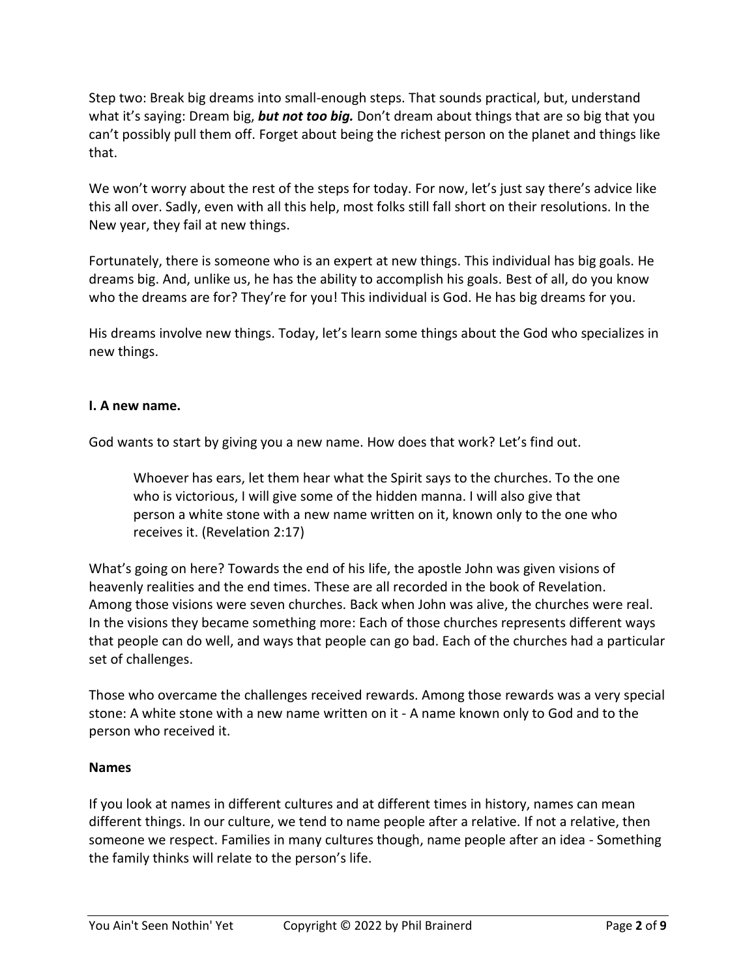Step two: Break big dreams into small-enough steps. That sounds practical, but, understand what it's saying: Dream big, *but not too big.* Don't dream about things that are so big that you can't possibly pull them off. Forget about being the richest person on the planet and things like that.

We won't worry about the rest of the steps for today. For now, let's just say there's advice like this all over. Sadly, even with all this help, most folks still fall short on their resolutions. In the New year, they fail at new things.

Fortunately, there is someone who is an expert at new things. This individual has big goals. He dreams big. And, unlike us, he has the ability to accomplish his goals. Best of all, do you know who the dreams are for? They're for you! This individual is God. He has big dreams for you.

His dreams involve new things. Today, let's learn some things about the God who specializes in new things.

## **I. A new name.**

God wants to start by giving you a new name. How does that work? Let's find out.

Whoever has ears, let them hear what the Spirit says to the churches. To the one who is victorious, I will give some of the hidden manna. I will also give that person a white stone with a new name written on it, known only to the one who receives it. (Revelation 2:17)

What's going on here? Towards the end of his life, the apostle John was given visions of heavenly realities and the end times. These are all recorded in the book of Revelation. Among those visions were seven churches. Back when John was alive, the churches were real. In the visions they became something more: Each of those churches represents different ways that people can do well, and ways that people can go bad. Each of the churches had a particular set of challenges.

Those who overcame the challenges received rewards. Among those rewards was a very special stone: A white stone with a new name written on it - A name known only to God and to the person who received it.

#### **Names**

If you look at names in different cultures and at different times in history, names can mean different things. In our culture, we tend to name people after a relative. If not a relative, then someone we respect. Families in many cultures though, name people after an idea - Something the family thinks will relate to the person's life.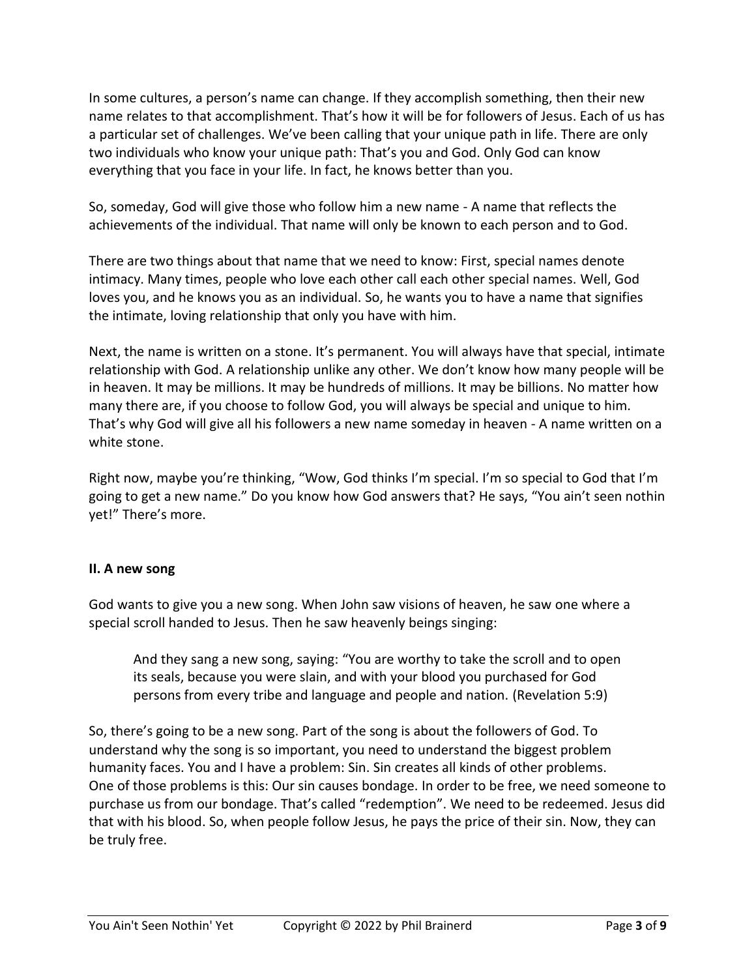In some cultures, a person's name can change. If they accomplish something, then their new name relates to that accomplishment. That's how it will be for followers of Jesus. Each of us has a particular set of challenges. We've been calling that your unique path in life. There are only two individuals who know your unique path: That's you and God. Only God can know everything that you face in your life. In fact, he knows better than you.

So, someday, God will give those who follow him a new name - A name that reflects the achievements of the individual. That name will only be known to each person and to God.

There are two things about that name that we need to know: First, special names denote intimacy. Many times, people who love each other call each other special names. Well, God loves you, and he knows you as an individual. So, he wants you to have a name that signifies the intimate, loving relationship that only you have with him.

Next, the name is written on a stone. It's permanent. You will always have that special, intimate relationship with God. A relationship unlike any other. We don't know how many people will be in heaven. It may be millions. It may be hundreds of millions. It may be billions. No matter how many there are, if you choose to follow God, you will always be special and unique to him. That's why God will give all his followers a new name someday in heaven - A name written on a white stone.

Right now, maybe you're thinking, "Wow, God thinks I'm special. I'm so special to God that I'm going to get a new name." Do you know how God answers that? He says, "You ain't seen nothin yet!" There's more.

## **II. A new song**

God wants to give you a new song. When John saw visions of heaven, he saw one where a special scroll handed to Jesus. Then he saw heavenly beings singing:

And they sang a new song, saying: "You are worthy to take the scroll and to open its seals, because you were slain, and with your blood you purchased for God persons from every tribe and language and people and nation. (Revelation 5:9)

So, there's going to be a new song. Part of the song is about the followers of God. To understand why the song is so important, you need to understand the biggest problem humanity faces. You and I have a problem: Sin. Sin creates all kinds of other problems. One of those problems is this: Our sin causes bondage. In order to be free, we need someone to purchase us from our bondage. That's called "redemption". We need to be redeemed. Jesus did that with his blood. So, when people follow Jesus, he pays the price of their sin. Now, they can be truly free.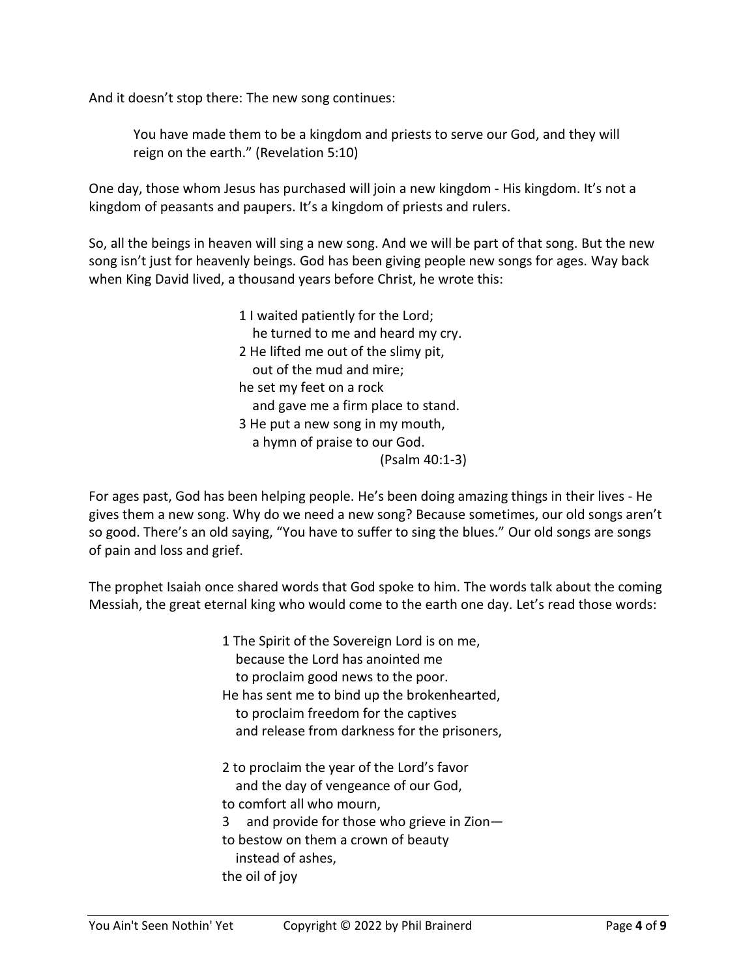And it doesn't stop there: The new song continues:

You have made them to be a kingdom and priests to serve our God, and they will reign on the earth." (Revelation 5:10)

One day, those whom Jesus has purchased will join a new kingdom - His kingdom. It's not a kingdom of peasants and paupers. It's a kingdom of priests and rulers.

So, all the beings in heaven will sing a new song. And we will be part of that song. But the new song isn't just for heavenly beings. God has been giving people new songs for ages. Way back when King David lived, a thousand years before Christ, he wrote this:

> 1 I waited patiently for the Lord; he turned to me and heard my cry. 2 He lifted me out of the slimy pit, out of the mud and mire; he set my feet on a rock and gave me a firm place to stand. 3 He put a new song in my mouth, a hymn of praise to our God. (Psalm 40:1-3)

For ages past, God has been helping people. He's been doing amazing things in their lives - He gives them a new song. Why do we need a new song? Because sometimes, our old songs aren't so good. There's an old saying, "You have to suffer to sing the blues." Our old songs are songs of pain and loss and grief.

The prophet Isaiah once shared words that God spoke to him. The words talk about the coming Messiah, the great eternal king who would come to the earth one day. Let's read those words:

> 1 The Spirit of the Sovereign Lord is on me, because the Lord has anointed me to proclaim good news to the poor. He has sent me to bind up the brokenhearted, to proclaim freedom for the captives and release from darkness for the prisoners, 2 to proclaim the year of the Lord's favor and the day of vengeance of our God, to comfort all who mourn, 3 and provide for those who grieve in Zion to bestow on them a crown of beauty instead of ashes, the oil of joy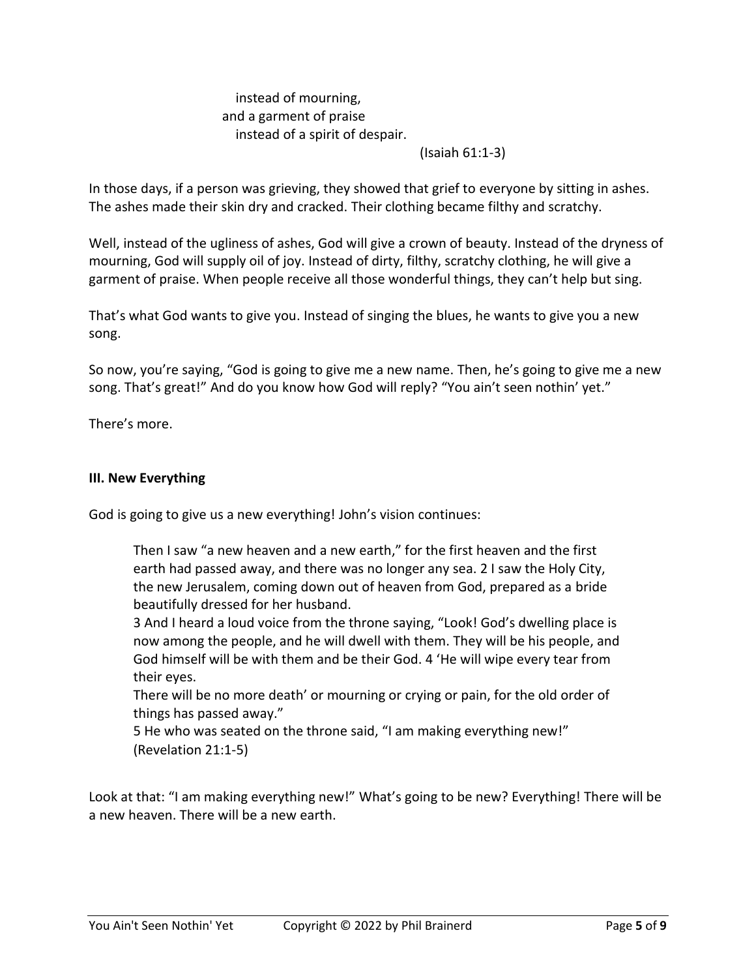# instead of mourning, and a garment of praise instead of a spirit of despair.

#### (Isaiah 61:1-3)

In those days, if a person was grieving, they showed that grief to everyone by sitting in ashes. The ashes made their skin dry and cracked. Their clothing became filthy and scratchy.

Well, instead of the ugliness of ashes, God will give a crown of beauty. Instead of the dryness of mourning, God will supply oil of joy. Instead of dirty, filthy, scratchy clothing, he will give a garment of praise. When people receive all those wonderful things, they can't help but sing.

That's what God wants to give you. Instead of singing the blues, he wants to give you a new song.

So now, you're saying, "God is going to give me a new name. Then, he's going to give me a new song. That's great!" And do you know how God will reply? "You ain't seen nothin' yet."

There's more.

#### **III. New Everything**

God is going to give us a new everything! John's vision continues:

Then I saw "a new heaven and a new earth," for the first heaven and the first earth had passed away, and there was no longer any sea. 2 I saw the Holy City, the new Jerusalem, coming down out of heaven from God, prepared as a bride beautifully dressed for her husband.

3 And I heard a loud voice from the throne saying, "Look! God's dwelling place is now among the people, and he will dwell with them. They will be his people, and God himself will be with them and be their God. 4 'He will wipe every tear from their eyes.

There will be no more death' or mourning or crying or pain, for the old order of things has passed away."

5 He who was seated on the throne said, "I am making everything new!" (Revelation 21:1-5)

Look at that: "I am making everything new!" What's going to be new? Everything! There will be a new heaven. There will be a new earth.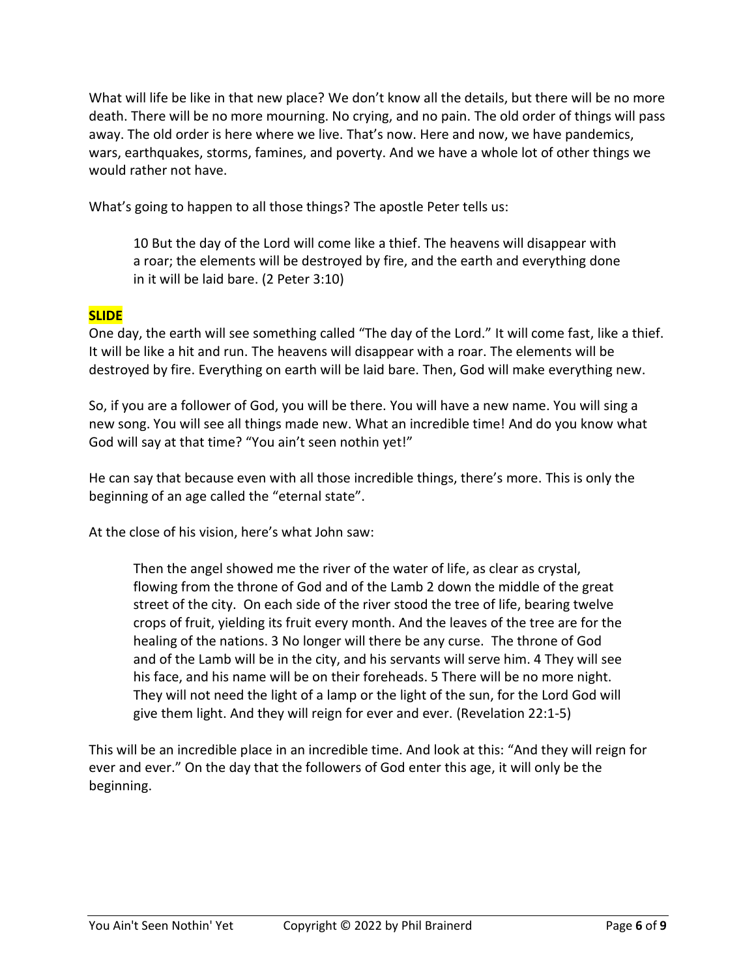What will life be like in that new place? We don't know all the details, but there will be no more death. There will be no more mourning. No crying, and no pain. The old order of things will pass away. The old order is here where we live. That's now. Here and now, we have pandemics, wars, earthquakes, storms, famines, and poverty. And we have a whole lot of other things we would rather not have.

What's going to happen to all those things? The apostle Peter tells us:

10 But the day of the Lord will come like a thief. The heavens will disappear with a roar; the elements will be destroyed by fire, and the earth and everything done in it will be laid bare. (2 Peter 3:10)

# **SLIDE**

One day, the earth will see something called "The day of the Lord." It will come fast, like a thief. It will be like a hit and run. The heavens will disappear with a roar. The elements will be destroyed by fire. Everything on earth will be laid bare. Then, God will make everything new.

So, if you are a follower of God, you will be there. You will have a new name. You will sing a new song. You will see all things made new. What an incredible time! And do you know what God will say at that time? "You ain't seen nothin yet!"

He can say that because even with all those incredible things, there's more. This is only the beginning of an age called the "eternal state".

At the close of his vision, here's what John saw:

Then the angel showed me the river of the water of life, as clear as crystal, flowing from the throne of God and of the Lamb 2 down the middle of the great street of the city. On each side of the river stood the tree of life, bearing twelve crops of fruit, yielding its fruit every month. And the leaves of the tree are for the healing of the nations. 3 No longer will there be any curse. The throne of God and of the Lamb will be in the city, and his servants will serve him. 4 They will see his face, and his name will be on their foreheads. 5 There will be no more night. They will not need the light of a lamp or the light of the sun, for the Lord God will give them light. And they will reign for ever and ever. (Revelation 22:1-5)

This will be an incredible place in an incredible time. And look at this: "And they will reign for ever and ever." On the day that the followers of God enter this age, it will only be the beginning.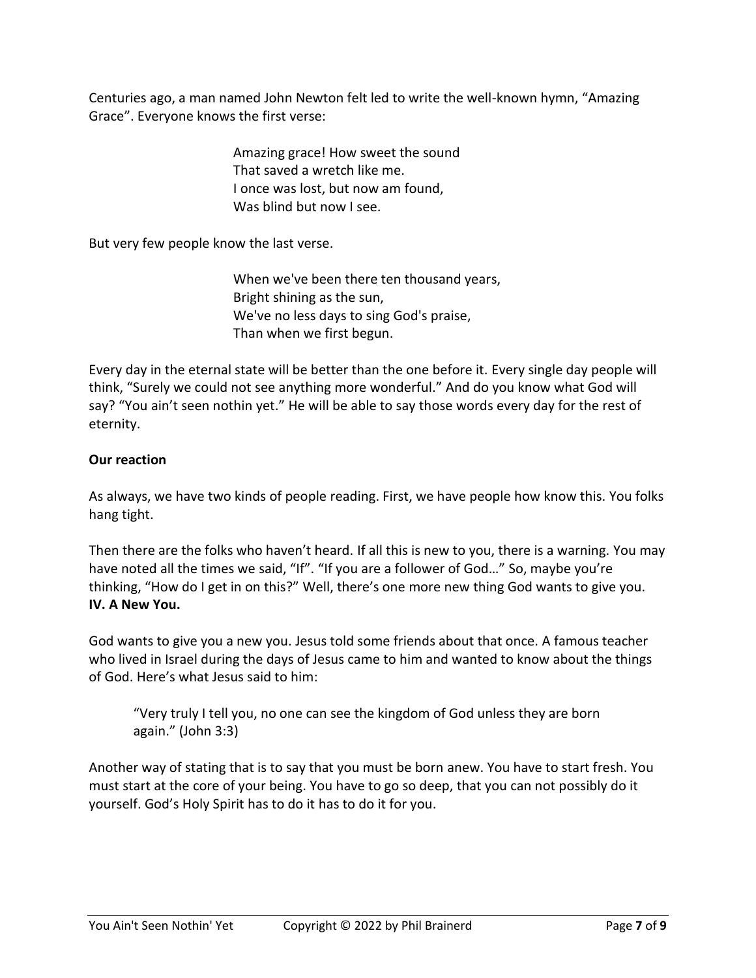Centuries ago, a man named John Newton felt led to write the well-known hymn, "Amazing Grace". Everyone knows the first verse:

> Amazing grace! How sweet the sound That saved a wretch like me. I once was lost, but now am found, Was blind but now I see.

But very few people know the last verse.

When we've been there ten thousand years, Bright shining as the sun, We've no less days to sing God's praise, Than when we first begun.

Every day in the eternal state will be better than the one before it. Every single day people will think, "Surely we could not see anything more wonderful." And do you know what God will say? "You ain't seen nothin yet." He will be able to say those words every day for the rest of eternity.

# **Our reaction**

As always, we have two kinds of people reading. First, we have people how know this. You folks hang tight.

Then there are the folks who haven't heard. If all this is new to you, there is a warning. You may have noted all the times we said, "If". "If you are a follower of God..." So, maybe you're thinking, "How do I get in on this?" Well, there's one more new thing God wants to give you. **IV. A New You.**

God wants to give you a new you. Jesus told some friends about that once. A famous teacher who lived in Israel during the days of Jesus came to him and wanted to know about the things of God. Here's what Jesus said to him:

"Very truly I tell you, no one can see the kingdom of God unless they are born again." (John 3:3)

Another way of stating that is to say that you must be born anew. You have to start fresh. You must start at the core of your being. You have to go so deep, that you can not possibly do it yourself. God's Holy Spirit has to do it has to do it for you.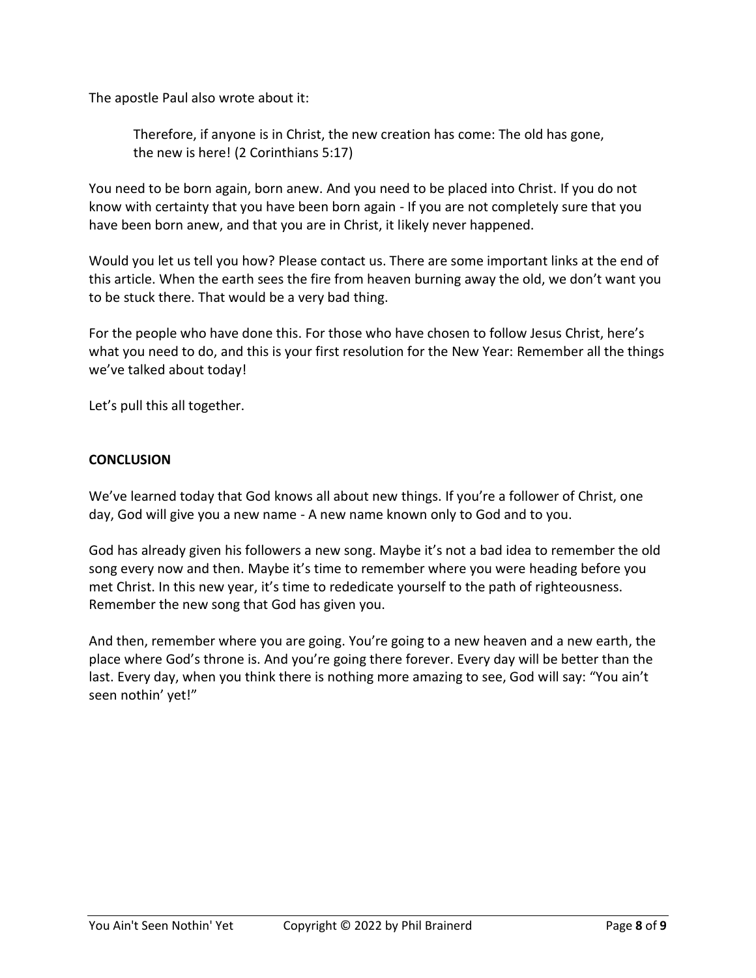The apostle Paul also wrote about it:

Therefore, if anyone is in Christ, the new creation has come: The old has gone, the new is here! (2 Corinthians 5:17)

You need to be born again, born anew. And you need to be placed into Christ. If you do not know with certainty that you have been born again - If you are not completely sure that you have been born anew, and that you are in Christ, it likely never happened.

Would you let us tell you how? Please contact us. There are some important links at the end of this article. When the earth sees the fire from heaven burning away the old, we don't want you to be stuck there. That would be a very bad thing.

For the people who have done this. For those who have chosen to follow Jesus Christ, here's what you need to do, and this is your first resolution for the New Year: Remember all the things we've talked about today!

Let's pull this all together.

### **CONCLUSION**

We've learned today that God knows all about new things. If you're a follower of Christ, one day, God will give you a new name - A new name known only to God and to you.

God has already given his followers a new song. Maybe it's not a bad idea to remember the old song every now and then. Maybe it's time to remember where you were heading before you met Christ. In this new year, it's time to rededicate yourself to the path of righteousness. Remember the new song that God has given you.

And then, remember where you are going. You're going to a new heaven and a new earth, the place where God's throne is. And you're going there forever. Every day will be better than the last. Every day, when you think there is nothing more amazing to see, God will say: "You ain't seen nothin' yet!"